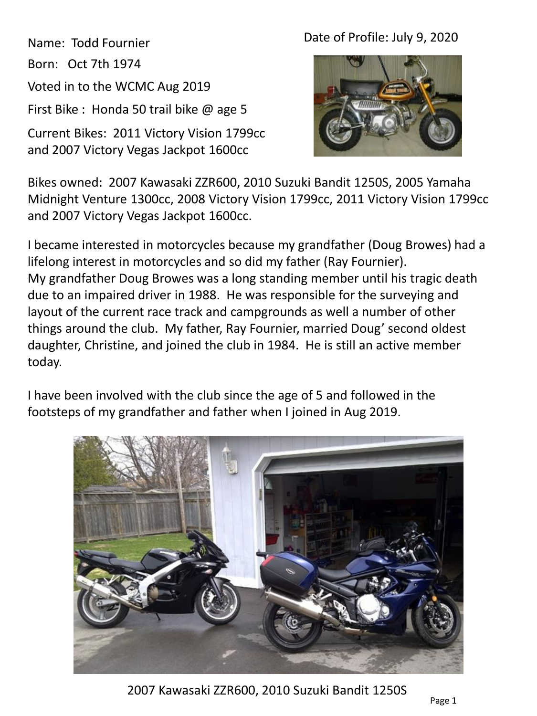Name: Todd Fournier Born: Oct 7th 1974 Voted in to the WCMC Aug 2019 First Bike : Honda 50 trail bike @ age 5

Current Bikes: 2011 Victory Vision 1799cc and 2007 Victory Vegas Jackpot 1600cc

## Date of Profile: July 9, 2020



Bikes owned: 2007 Kawasaki ZZR600, 2010 Suzuki Bandit 1250S, 2005 Yamaha Midnight Venture 1300cc, 2008 Victory Vision 1799cc, 2011 Victory Vision 1799cc and 2007 Victory Vegas Jackpot 1600cc.

I became interested in motorcycles because my grandfather (Doug Browes) had a lifelong interest in motorcycles and so did my father (Ray Fournier). My grandfather Doug Browes was a long standing member until his tragic death due to an impaired driver in 1988. He was responsible for the surveying and layout of the current race track and campgrounds as well a number of other things around the club. My father, Ray Fournier, married Doug' second oldest daughter, Christine, and joined the club in 1984. He is still an active member today.

I have been involved with the club since the age of 5 and followed in the footsteps of my grandfather and father when I joined in Aug 2019.



2007 Kawasaki ZZR600, 2010 Suzuki Bandit 1250S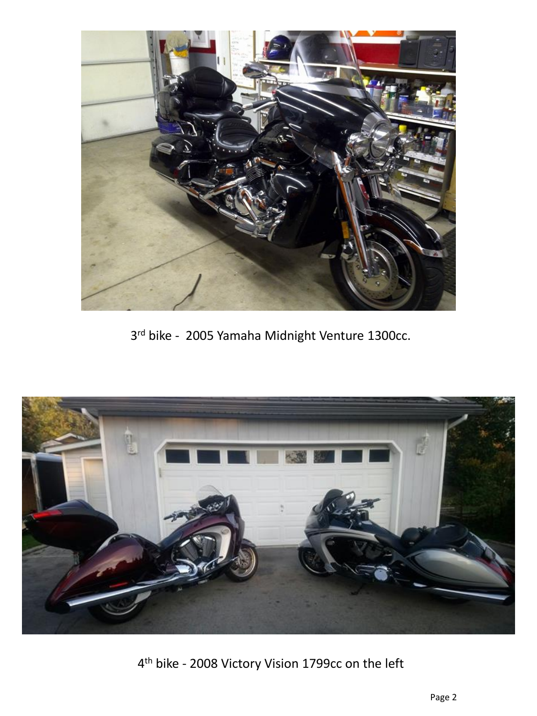

rd bike - 2005 Yamaha Midnight Venture 1300cc.



th bike - 2008 Victory Vision 1799cc on the left